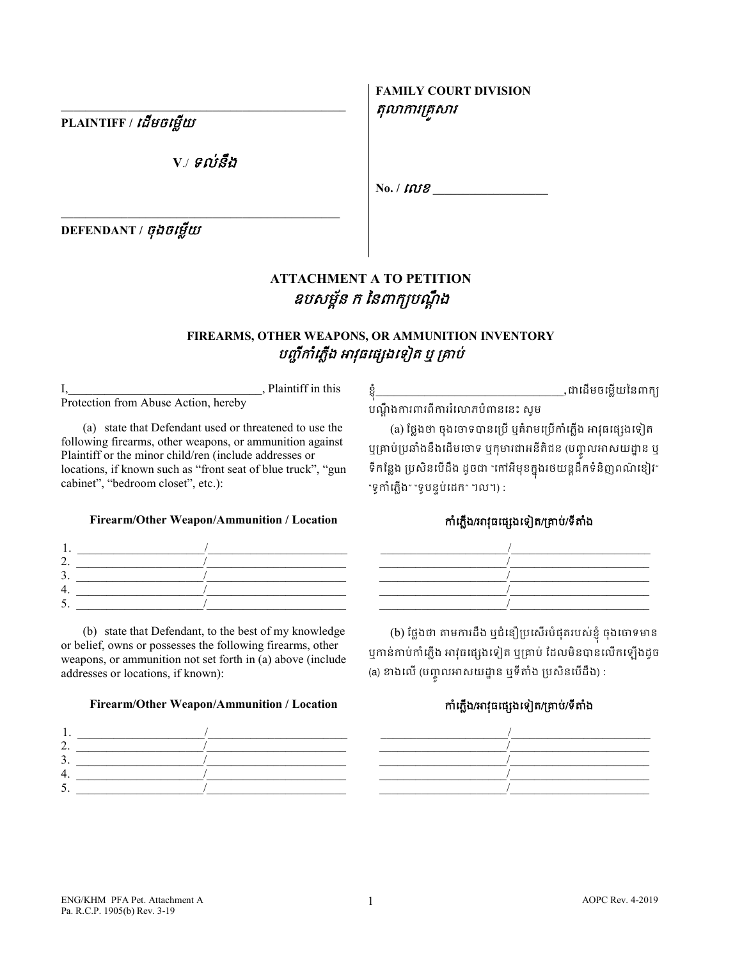**PLAINTIFF /** េដមចេម�យ

**V**./ ទល់នឹង

**\_\_\_\_\_\_\_\_\_\_\_\_\_\_\_\_\_\_\_\_\_\_\_\_\_\_\_\_\_\_\_\_\_\_\_\_\_\_\_\_\_\_\_\_\_\_**

**\_\_\_\_\_\_\_\_\_\_\_\_\_\_\_\_\_\_\_\_\_\_\_\_\_\_\_\_\_\_\_\_\_\_\_\_\_\_\_\_\_\_\_\_\_\_\_**

**DEFENDANT /** ចុងចេម�យ

# **ATTACHMENT А TO PETITION** ឧបសម្ព័ន ក នៃពាក្យបណ្តឹង

## **FIREARMS, OTHER WEAPONS, OR AMMUNITION INVENTORY** បញ្ជីកាំភ្លើង អាវុធផ្សេងទៀត ឬ គ្រាប់

I, Plaintiff in this Protection from Abuse Action, hereby

(a) state that Defendant used or threatened to use the following firearms, other weapons, or ammunition against Plaintiff or the minor child/ren (include addresses or locations, if known such as "front seat of blue truck", "gun cabinet", "bedroom closet", etc.):

### **Firearm/Other Weapon/Ammunition / Location** កំេភ�ង/អវុធេផ្សងេទៀត/្រគាប់/ទីតំង

(b) state that Defendant, to the best of my knowledge or belief, owns or possesses the following firearms, other weapons, or ammunition not set forth in (a) above (include addresses or locations, if known):

### **Firearm/Other Weapon/Ammunition / Location** កំេភ�ង/អវុធេផ្សងេទៀត/្រគាប់/ទីតំង



ខ�ុ ំ\_\_\_\_\_\_\_\_\_\_\_\_\_\_\_\_\_\_\_\_\_\_\_\_\_\_\_\_\_\_\_,ជាេដមចេម�យៃនពក្យ បណ�ឹ ងករពរពីកររំេលភបំពនេនះ សូម

**FAMILY COURT DIVISION**

 $N_0$ . **/**  $W_2$ 

តុលាការគ្រសារ

(a) ថ្លែងថា ចុងចោទបានប្រើ ឬគំរាមប្រើកាំភ្លើង អាវុធផ្សេងទៀត ឬគ្រាបប្រឆាងនឹងដេមចោទ ឬកុមារជាអនីតិជន (បញ្ចូលអាសយដ្ឋាន ឬ ទកន្លេង ប្រសនបេដង ដូចជា "កោអមុខក្នុងរថយន្តដកទនញពណខ្យេរ″ "ទូកាំភ្លើង" "ទូបន្ទប់ដេក" ។ល។) :



(b) ថ្លែងថា តាមការដឹង ឬជំនឿប្រសើរបំផុតរបស់ខ្ញុំ ចុងចោទមាន ឬកាន់កាប់កាំភ្លើង អាវុធផ្សេងទៀត ឬគ្រាប់ ដែលមិនបានលើកឡើងដូច (a) ខាងលេ (បញ្ចូលអាសយដ្ឋាន ឬទតាង ប្រសនបេដង) :